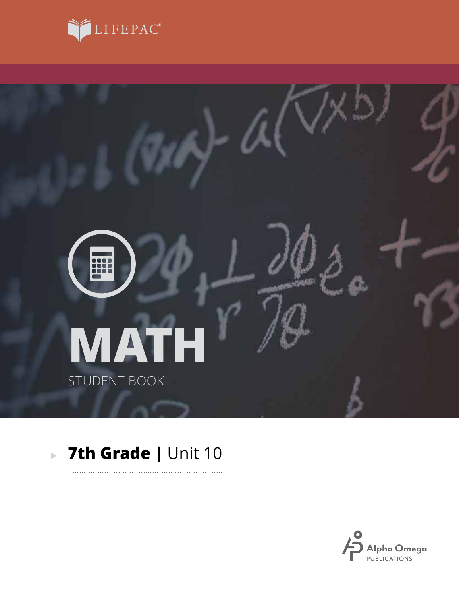



. . . . . . .

# **7th Grade |** Unit 10

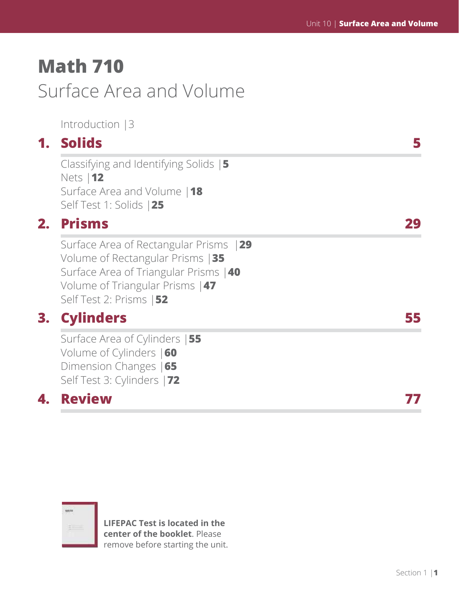# **Math 710** Surface Area and Volume

Introduction |3

# **1. Solids 5**

Classifying and Identifying Solids |**5** Nets |**12** Surface Area and Volume |**18** Self Test 1: Solids |**25**

# **2. Prisms 29**

Surface Area of Rectangular Prisms |**29** Volume of Rectangular Prisms |**35** Surface Area of Triangular Prisms |**40** Volume of Triangular Prisms |**47** Self Test 2: Prisms |**52**

# **3. Cylinders 55**

Surface Area of Cylinders |**55** Volume of Cylinders |**60** Dimension Changes |**65** Self Test 3: Cylinders |**72**

# **4. Review 77**



**LIFEPAC Test is located in the center of the booklet**. Please remove before starting the unit.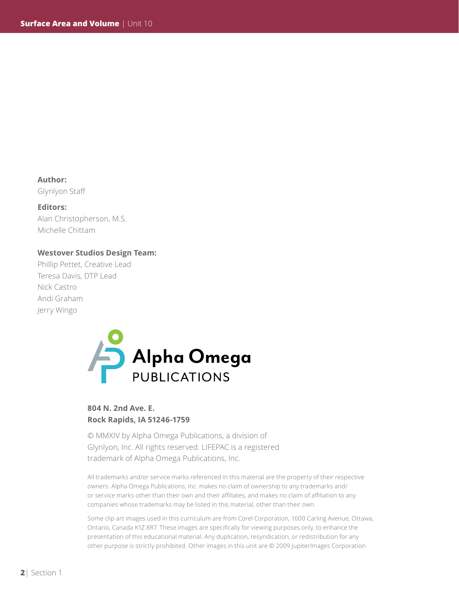**Author:**  Glynlyon Staff

#### **Editors:**

Alan Christopherson, M.S. Michelle Chittam

#### **Westover Studios Design Team:**

Phillip Pettet, Creative Lead Teresa Davis, DTP Lead Nick Castro Andi Graham Jerry Wingo



### **804 N. 2nd Ave. E. Rock Rapids, IA 51246-1759**

© MMXIV by Alpha Omega Publications, a division of Glynlyon, Inc. All rights reserved. LIFEPAC is a registered trademark of Alpha Omega Publications, Inc.

All trademarks and/or service marks referenced in this material are the property of their respective owners. Alpha Omega Publications, Inc. makes no claim of ownership to any trademarks and/ or service marks other than their own and their affiliates, and makes no claim of affiliation to any companies whose trademarks may be listed in this material, other than their own.

Some clip art images used in this curriculum are from Corel Corporation, 1600 Carling Avenue, Ottawa, Ontario, Canada K1Z 8R7. These images are specifically for viewing purposes only, to enhance the presentation of this educational material. Any duplication, resyndication, or redistribution for any other purpose is strictly prohibited. Other images in this unit are © 2009 JupiterImages Corporation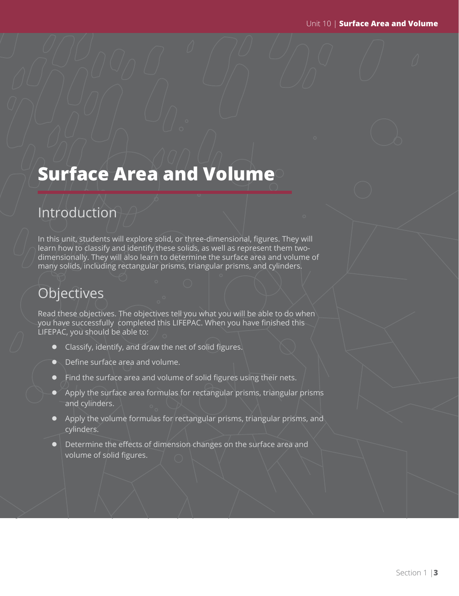# **Surface Area and Volume**

## Introduction

In this unit, students will explore solid, or three-dimensional, figures. They will learn how to classify and identify these solids, as well as represent them twodimensionally. They will also learn to determine the surface area and volume of many solids, including rectangular prisms, triangular prisms, and cylinders.

# **Objectives**

Read these objectives. The objectives tell you what you will be able to do when you have successfully completed this LIFEPAC. When you have finished this LIFEPAC, you should be able to:

- Classify, identify, and draw the net of solid figures.
- Define surface area and volume.
- $\bullet$  Find the surface area and volume of solid figures using their nets.
- Apply the surface area formulas for rectangular prisms, triangular prisms and cylinders.
- Apply the volume formulas for rectangular prisms, triangular prisms, and cylinders.
- $\parallel$  Determine the effects of dimension changes on the surface area and volume of solid figures.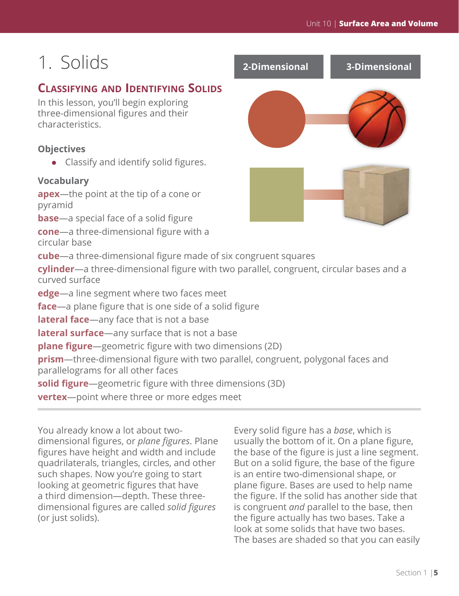# 1. Solids

## **Classifying and Identifying Solids**

In this lesson, you'll begin exploring three-dimensional figures and their characteristics.

## **Objectives**

• Classify and identify solid figures.

## **Vocabulary**

**apex**—the point at the tip of a cone or pyramid

**base**—a special face of a solid figure

**cone**—a three-dimensional figure with a circular base

**cube**—a three-dimensional figure made of six congruent squares

**cylinder**—a three-dimensional figure with two parallel, congruent, circular bases and a curved surface

**edge**—a line segment where two faces meet

**face**—a plane figure that is one side of a solid figure

**lateral face**—any face that is not a base

**lateral surface**—any surface that is not a base

**plane figure**—geometric figure with two dimensions (2D)

**prism**—three-dimensional figure with two parallel, congruent, polygonal faces and parallelograms for all other faces

**solid figure**—geometric figure with three dimensions (3D)

**vertex**—point where three or more edges meet

You already know a lot about twodimensional figures, or *plane figures*. Plane figures have height and width and include quadrilaterals, triangles, circles, and other such shapes. Now you're going to start looking at geometric figures that have a third dimension—depth. These threedimensional figures are called *solid figures* (or just solids).

Every solid figure has a *base*, which is usually the bottom of it. On a plane figure, the base of the figure is just a line segment. But on a solid figure, the base of the figure is an entire two-dimensional shape, or plane figure. Bases are used to help name the figure. If the solid has another side that is congruent *and* parallel to the base, then the figure actually has two bases. Take a look at some solids that have two bases. The bases are shaded so that you can easily

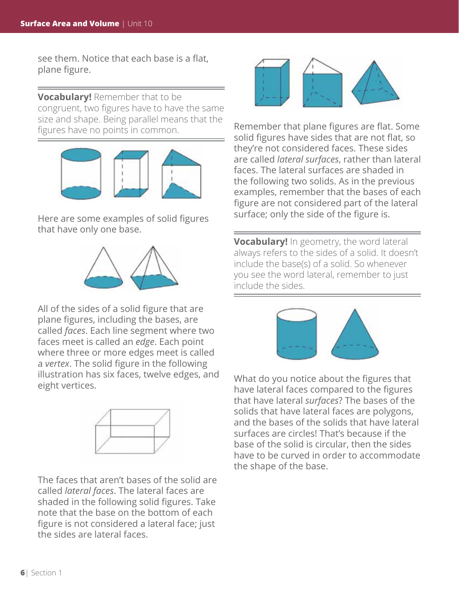see them. Notice that each base is a flat, plane figure.

**Vocabulary!** Remember that to be congruent, two figures have to have the same size and shape. Being parallel means that the figures have no points in common.



Here are some examples of solid figures that have only one base.



All of the sides of a solid figure that are plane figures, including the bases, are called *faces*. Each line segment where two faces meet is called an *edge*. Each point where three or more edges meet is called a *vertex*. The solid figure in the following illustration has six faces, twelve edges, and eight vertices.



The faces that aren't bases of the solid are called *lateral faces*. The lateral faces are shaded in the following solid figures. Take note that the base on the bottom of each figure is not considered a lateral face; just the sides are lateral faces.



Remember that plane figures are flat. Some solid figures have sides that are not flat, so they're not considered faces. These sides are called *lateral surfaces*, rather than lateral faces. The lateral surfaces are shaded in the following two solids. As in the previous examples, remember that the bases of each figure are not considered part of the lateral surface; only the side of the figure is.

**Vocabulary!** In geometry, the word lateral always refers to the sides of a solid. It doesn't include the base(s) of a solid. So whenever you see the word lateral, remember to just include the sides.



What do you notice about the figures that have lateral faces compared to the figures that have lateral *surfaces*? The bases of the solids that have lateral faces are polygons, and the bases of the solids that have lateral surfaces are circles! That's because if the base of the solid is circular, then the sides have to be curved in order to accommodate the shape of the base.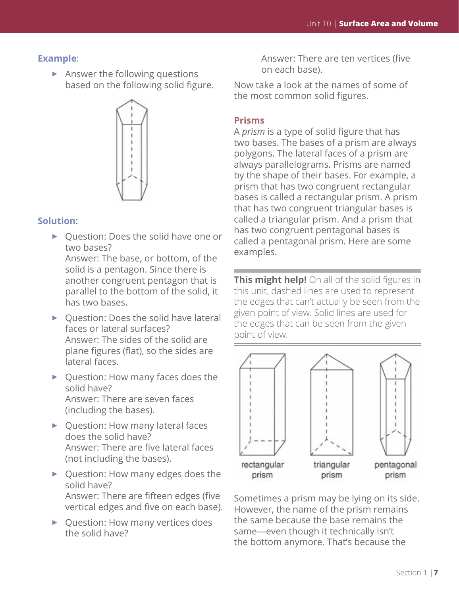#### **Example**:

 $\triangleright$  Answer the following questions based on the following solid figure.



#### **Solution**:

► Question: Does the solid have one or two bases? Answer: The base, or bottom, of the

solid is a pentagon. Since there is another congruent pentagon that is parallel to the bottom of the solid, it has two bases.

- ► Question: Does the solid have lateral faces or lateral surfaces? Answer: The sides of the solid are plane figures (flat), so the sides are lateral faces.
- ► Question: How many faces does the solid have? Answer: There are seven faces (including the bases).
- ▶ Question: How many lateral faces does the solid have? Answer: There are five lateral faces (not including the bases).
- ► Question: How many edges does the solid have? Answer: There are fifteen edges (five vertical edges and five on each base).
- ▶ Question: How many vertices does the solid have?

Answer: There are ten vertices (five on each base).

Now take a look at the names of some of the most common solid figures.

### **Prisms**

A *prism* is a type of solid figure that has two bases. The bases of a prism are always polygons. The lateral faces of a prism are always parallelograms. Prisms are named by the shape of their bases. For example, a prism that has two congruent rectangular bases is called a rectangular prism. A prism that has two congruent triangular bases is called a triangular prism. And a prism that has two congruent pentagonal bases is called a pentagonal prism. Here are some examples.

**This might help!** On all of the solid figures in this unit, dashed lines are used to represent the edges that can't actually be seen from the given point of view. Solid lines are used for the edges that can be seen from the given point of view.



Sometimes a prism may be lying on its side. However, the name of the prism remains the same because the base remains the same—even though it technically isn't the bottom anymore. That's because the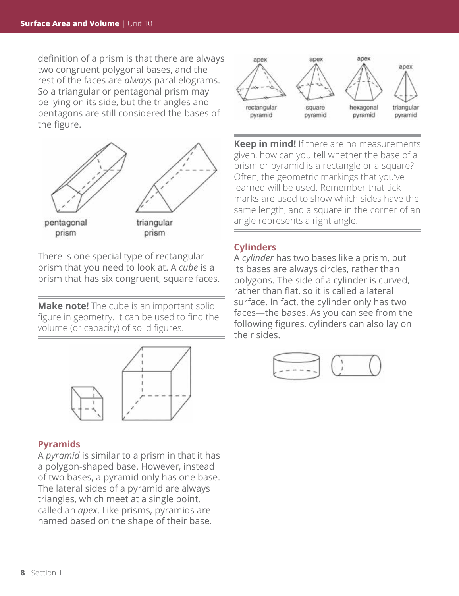definition of a prism is that there are always two congruent polygonal bases, and the rest of the faces are *always* parallelograms. So a triangular or pentagonal prism may be lying on its side, but the triangles and pentagons are still considered the bases of the figure.



There is one special type of rectangular prism that you need to look at. A *cube* is a prism that has six congruent, square faces.

**Make note!** The cube is an important solid figure in geometry. It can be used to find the volume (or capacity) of solid figures.



### **Pyramids**

A *pyramid* is similar to a prism in that it has a polygon-shaped base. However, instead of two bases, a pyramid only has one base. The lateral sides of a pyramid are always triangles, which meet at a single point, called an *apex*. Like prisms, pyramids are named based on the shape of their base.



**Keep in mind!** If there are no measurements given, how can you tell whether the base of a prism or pyramid is a rectangle or a square? Often, the geometric markings that you've learned will be used. Remember that tick marks are used to show which sides have the same length, and a square in the corner of an angle represents a right angle.

### **Cylinders**

A *cylinder* has two bases like a prism, but its bases are always circles, rather than polygons. The side of a cylinder is curved, rather than flat, so it is called a lateral surface. In fact, the cylinder only has two faces—the bases. As you can see from the following figures, cylinders can also lay on their sides.

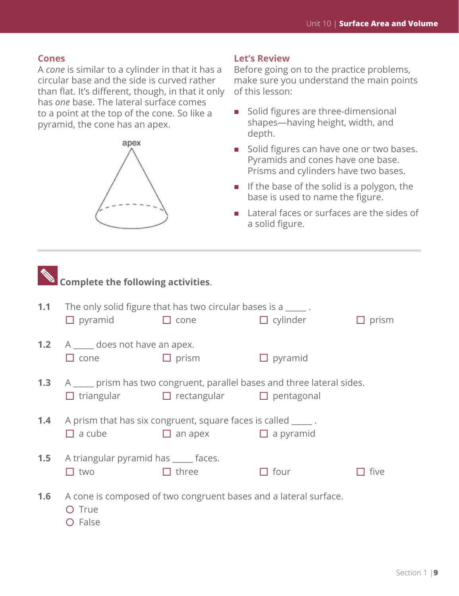### **Cones**

A *cone* is similar to a cylinder in that it has a circular base and the side is curved rather than flat. It's different, though, in that it only has *one* base. The lateral surface comes to a point at the top of the cone. So like a pyramid, the cone has an apex.



#### **Let's Review**

Before going on to the practice problems, make sure you understand the main points of this lesson:

- **Solid figures are three-dimensional** shapes—having height, width, and depth.
- Solid figures can have one or two bases. Pyramids and cones have one base. Prisms and cylinders have two bases.
- $\blacksquare$  If the base of the solid is a polygon, the base is used to name the figure.
- Lateral faces or surfaces are the sides of a solid figure.

| <b>Complete the following activities.</b> |                                                                                                                                              |                                                                   |                 |              |  |  |  |  |
|-------------------------------------------|----------------------------------------------------------------------------------------------------------------------------------------------|-------------------------------------------------------------------|-----------------|--------------|--|--|--|--|
| 1.1                                       | $\Box$ pyramid $\Box$ cone                                                                                                                   | The only solid figure that has two circular bases is a $\qquad$ . | $\Box$ cylinder | $\Box$ prism |  |  |  |  |
|                                           | <b>1.2</b> A _____ does not have an apex.<br>$\Box$ cone                                                                                     | $\Box$ prism                                                      | $\Box$ pyramid  |              |  |  |  |  |
|                                           | 1.3 A sample is a prism has two congruent, parallel bases and three lateral sides.<br>$\Box$ triangular $\Box$ rectangular $\Box$ pentagonal |                                                                   |                 |              |  |  |  |  |
|                                           | <b>1.4</b> A prism that has six congruent, square faces is called ______.<br>$\Box$ a cube                                                   | $\Box$ an apex $\Box$ a pyramid                                   |                 |              |  |  |  |  |
| 1.5                                       | A triangular pyramid has _____ faces.<br>$\Box$ two                                                                                          | $\Box$ three                                                      | $\Box$ four     | five         |  |  |  |  |
| 1.6                                       | O True<br>O False                                                                                                                            | A cone is composed of two congruent bases and a lateral surface.  |                 |              |  |  |  |  |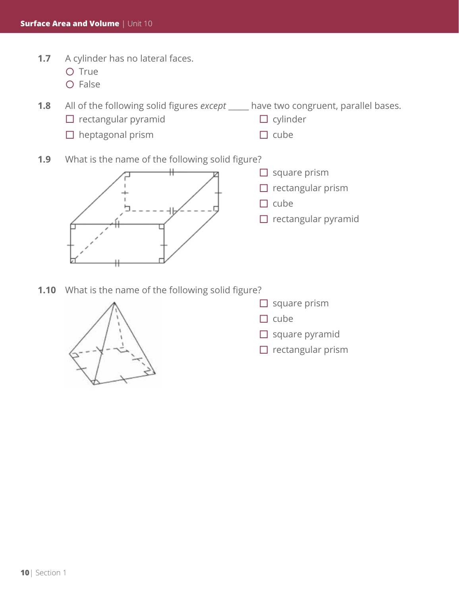- 1.7 A cylinder has no lateral faces.
	- O True
	- $O$  False

**1.8** All of the following solid figures *except* \_\_\_\_\_ have two congruent, parallel bases.

- $\square$  rectangular pyramid
- $\Box$  heptagonal prism
- $\Box$  cylinder  $\Box$  cube
- **1.9** What is the name of the following solid figure?



- $\Box$  square prism
- $\Box$  rectangular prism
- $\Box$  cube
- $\square$  rectangular pyramid
- **1.10** What is the name of the following solid figure?



- $\Box$  square prism
- $\Box$  cube
- $\Box$  square pyramid
- $\Box$  rectangular prism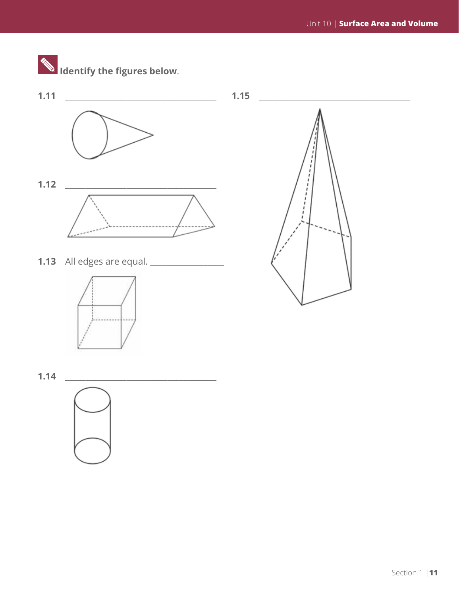

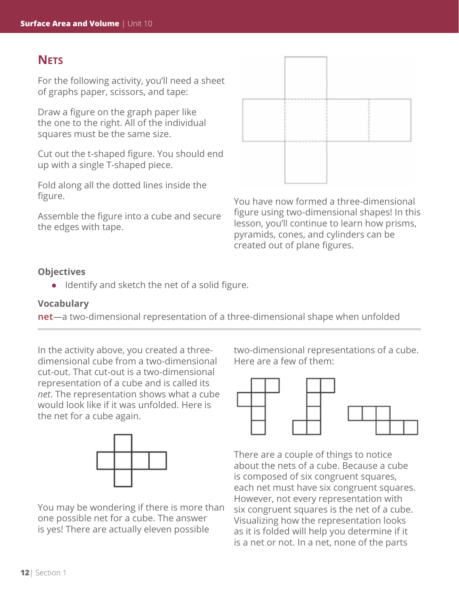## **Nets**

For the following activity, you'll need a sheet of graphs paper, scissors, and tape:

Draw a figure on the graph paper like the one to the right. All of the individual squares must be the same size.

Cut out the t-shaped figure. You should end up with a single T-shaped piece.

Fold along all the dotted lines inside the figure.

Assemble the figure into a cube and secure the edges with tape.



You have now formed a three-dimensional figure using two-dimensional shapes! In this lesson, you'll continue to learn how prisms, pyramids, cones, and cylinders can be created out of plane figures.

## **Objectives**

 $\bullet$  Identify and sketch the net of a solid figure.

### **Vocabulary**

**net**—a two-dimensional representation of a three-dimensional shape when unfolded

In the activity above, you created a threedimensional cube from a two-dimensional cut-out. That cut-out is a two-dimensional representation of a cube and is called its *net*. The representation shows what a cube would look like if it was unfolded. Here is the net for a cube again.



You may be wondering if there is more than one possible net for a cube. The answer is yes! There are actually eleven possible

two-dimensional representations of a cube. Here are a few of them:



There are a couple of things to notice about the nets of a cube. Because a cube is composed of six congruent squares, each net must have six congruent squares. However, not every representation with six congruent squares is the net of a cube. Visualizing how the representation looks as it is folded will help you determine if it is a net or not. In a net, none of the parts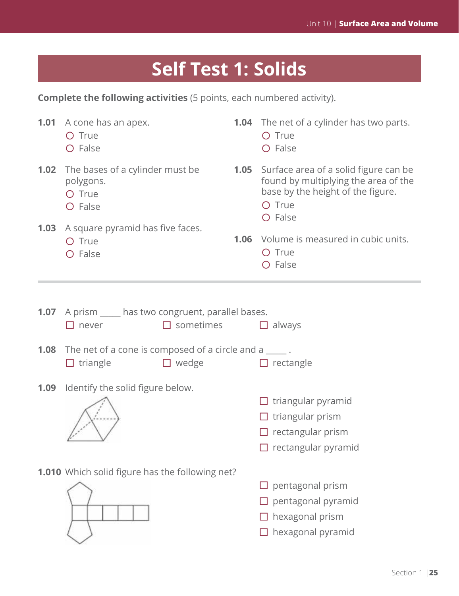# **Self Test 1: Solids**

**Complete the following activities** (5 points, each numbered activity).

|                                                        | <b>1.01</b> A cone has an apex.<br>O True<br>O False                                                                      |                  | <b>1.04</b> The net of a cylinder has two parts.<br>O True<br>O False                                                                           |  |  |  |  |
|--------------------------------------------------------|---------------------------------------------------------------------------------------------------------------------------|------------------|-------------------------------------------------------------------------------------------------------------------------------------------------|--|--|--|--|
|                                                        | <b>1.02</b> The bases of a cylinder must be<br>polygons.<br>O True<br>O False                                             |                  | 1.05<br>Surface area of a solid figure can be<br>found by multiplying the area of the<br>base by the height of the figure.<br>O True<br>O False |  |  |  |  |
|                                                        | <b>1.03</b> A square pyramid has five faces.<br>O True<br>O False                                                         | 1.06             | Volume is measured in cubic units.<br>O True<br>O False                                                                                         |  |  |  |  |
|                                                        |                                                                                                                           |                  |                                                                                                                                                 |  |  |  |  |
| 1.07                                                   | A prism _____ has two congruent, parallel bases.<br>$\Box$ never                                                          | $\Box$ sometimes | $\Box$ always                                                                                                                                   |  |  |  |  |
|                                                        | <b>1.08</b> The net of a cone is composed of a circle and $a \_$ .<br>$\Box$ triangle<br>$\Box$ wedge<br>$\Box$ rectangle |                  |                                                                                                                                                 |  |  |  |  |
| 1.09                                                   | Identify the solid figure below.                                                                                          |                  |                                                                                                                                                 |  |  |  |  |
|                                                        |                                                                                                                           |                  | $\Box$ triangular pyramid<br>$\Box$ triangular prism<br>$\Box$ rectangular prism<br>$\Box$ rectangular pyramid                                  |  |  |  |  |
| <b>1.010</b> Which solid figure has the following net? |                                                                                                                           |                  |                                                                                                                                                 |  |  |  |  |
|                                                        |                                                                                                                           | pentagonal prism |                                                                                                                                                 |  |  |  |  |
|                                                        |                                                                                                                           |                  | pentagonal pyramid                                                                                                                              |  |  |  |  |
|                                                        |                                                                                                                           |                  |                                                                                                                                                 |  |  |  |  |
|                                                        |                                                                                                                           |                  | hexagonal prism<br>hexagonal pyramid                                                                                                            |  |  |  |  |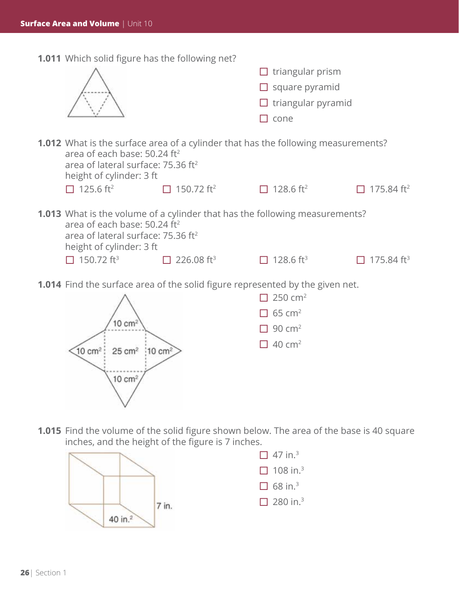**1.011** Which solid figure has the following net?

|                                                                                                                                                                                                                    |                               | triangular prism<br>square pyramid<br>triangular pyramid<br>cone                                        |               |  |
|--------------------------------------------------------------------------------------------------------------------------------------------------------------------------------------------------------------------|-------------------------------|---------------------------------------------------------------------------------------------------------|---------------|--|
| <b>1.012</b> What is the surface area of a cylinder that has the following measurements?<br>area of each base: 50.24 ft <sup>2</sup><br>area of lateral surface: 75.36 ft <sup>2</sup><br>height of cylinder: 3 ft |                               |                                                                                                         |               |  |
| $\Box$ 125.6 ft <sup>2</sup>                                                                                                                                                                                       | □ 150.72 ft <sup>2</sup>      | 128.6 ft <sup>2</sup><br>П                                                                              | 175.84 $ft^2$ |  |
| area of each base: 50.24 ft <sup>2</sup><br>area of lateral surface: 75.36 ft <sup>2</sup><br>height of cylinder: 3 ft<br>$\Box$ 150.72 ft <sup>3</sup>                                                            | $\Box$ 226.08 ft <sup>3</sup> | <b>1.013</b> What is the volume of a cylinder that has the following measurements?<br>128.6 $ft^3$<br>П | 175.84 $ft^3$ |  |
|                                                                                                                                                                                                                    |                               | 1.014 Find the surface area of the solid figure represented by the given net.                           |               |  |
|                                                                                                                                                                                                                    |                               | 250 $cm2$                                                                                               |               |  |
|                                                                                                                                                                                                                    |                               | $65 \text{ cm}^2$                                                                                       |               |  |
| 10 cm <sup>2</sup>                                                                                                                                                                                                 |                               | 90 $cm2$                                                                                                |               |  |
| 10 cm <sup>2</sup><br>$25 \text{ cm}^2$<br>$10 \text{ cm}^2$                                                                                                                                                       | $[10 \text{ cm}^2]$           | 40 $cm2$                                                                                                |               |  |

**1.015** Find the volume of the solid figure shown below. The area of the base is 40 square inches, and the height of the figure is 7 inches.



 $\vee$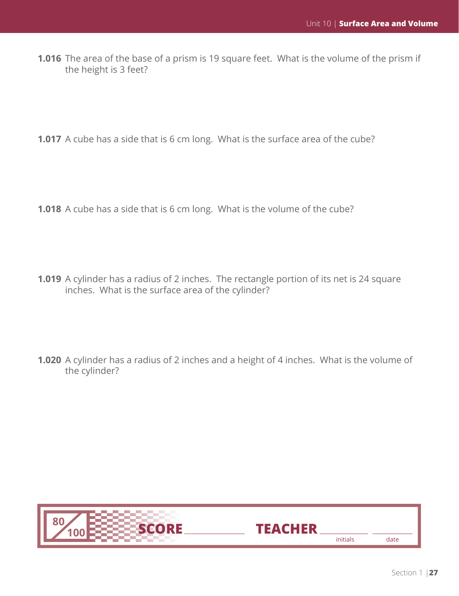**1.016** The area of the base of a prism is 19 square feet. What is the volume of the prism if the height is 3 feet?

**1.017** A cube has a side that is 6 cm long. What is the surface area of the cube?

**1.018** A cube has a side that is 6 cm long. What is the volume of the cube?

- **1.019** A cylinder has a radius of 2 inches. The rectangle portion of its net is 24 square inches. What is the surface area of the cylinder?
- **1.020** A cylinder has a radius of 2 inches and a height of 4 inches. What is the volume of the cylinder?